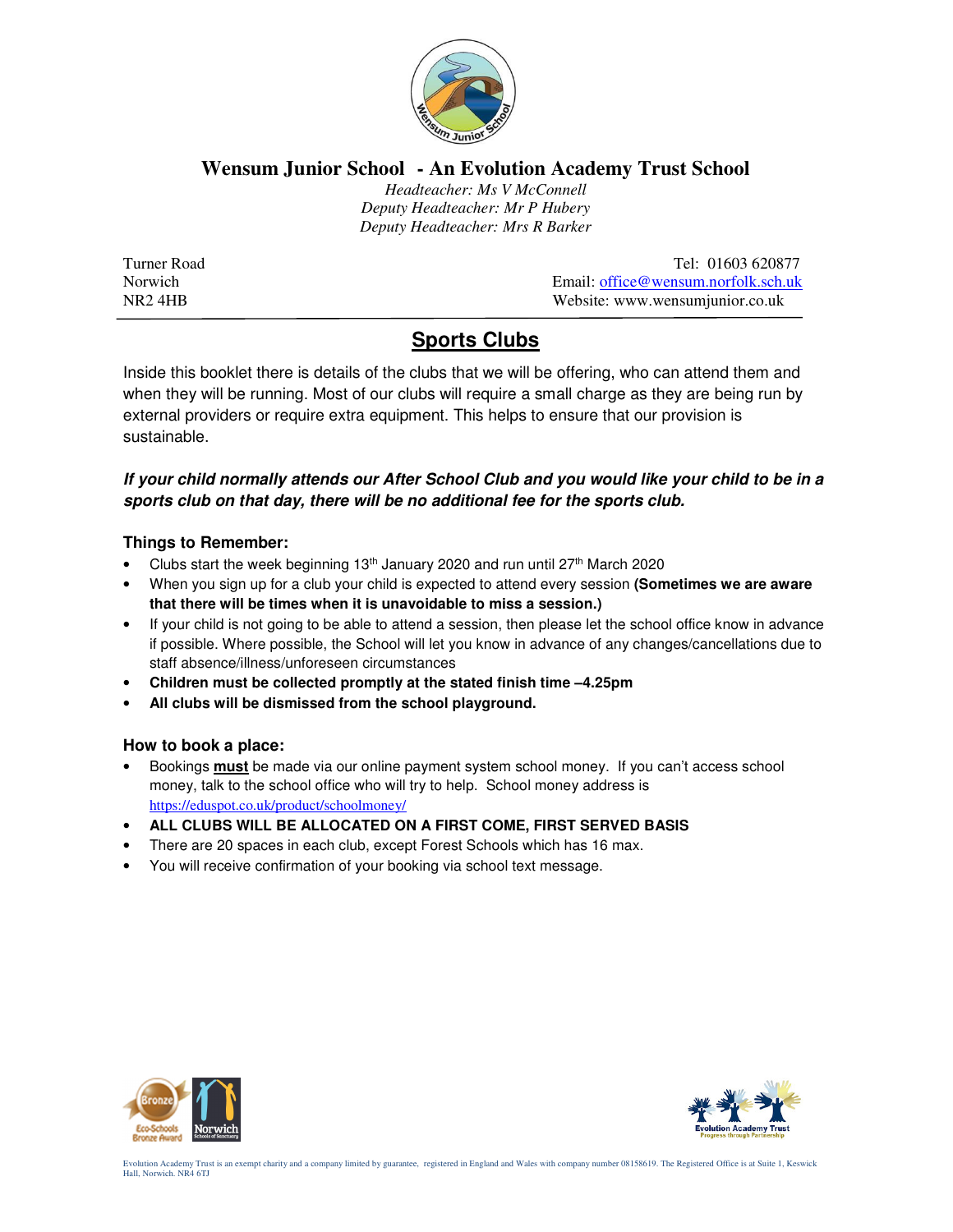

## **Wensum Junior School - An Evolution Academy Trust School**

 *Headteacher: Ms V McConnell Deputy Headteacher: Mr P Hubery Deputy Headteacher: Mrs R Barker* 

Turner Road Tel: 01603 620877<br>Norwich Email: office@wensum.norfolk.sch.uk Email: office@wensum.norfolk.sch.uk NR2 4HB Website: www.wensumjunior.co.uk

# **Sports Clubs**

Inside this booklet there is details of the clubs that we will be offering, who can attend them and when they will be running. Most of our clubs will require a small charge as they are being run by external providers or require extra equipment. This helps to ensure that our provision is sustainable.

## **If your child normally attends our After School Club and you would like your child to be in a sports club on that day, there will be no additional fee for the sports club.**

### **Things to Remember:**

- Clubs start the week beginning 13<sup>th</sup> January 2020 and run until 27<sup>th</sup> March 2020
- When you sign up for a club your child is expected to attend every session **(Sometimes we are aware that there will be times when it is unavoidable to miss a session.)**
- If your child is not going to be able to attend a session, then please let the school office know in advance if possible. Where possible, the School will let you know in advance of any changes/cancellations due to staff absence/illness/unforeseen circumstances
- **Children must be collected promptly at the stated finish time –4.25pm**
- **All clubs will be dismissed from the school playground.**

#### **How to book a place:**

- Bookings **must** be made via our online payment system school money. If you can't access school money, talk to the school office who will try to help. School money address is https://eduspot.co.uk/product/schoolmoney/
- **ALL CLUBS WILL BE ALLOCATED ON A FIRST COME, FIRST SERVED BASIS**
- There are 20 spaces in each club, except Forest Schools which has 16 max.
- You will receive confirmation of your booking via school text message.



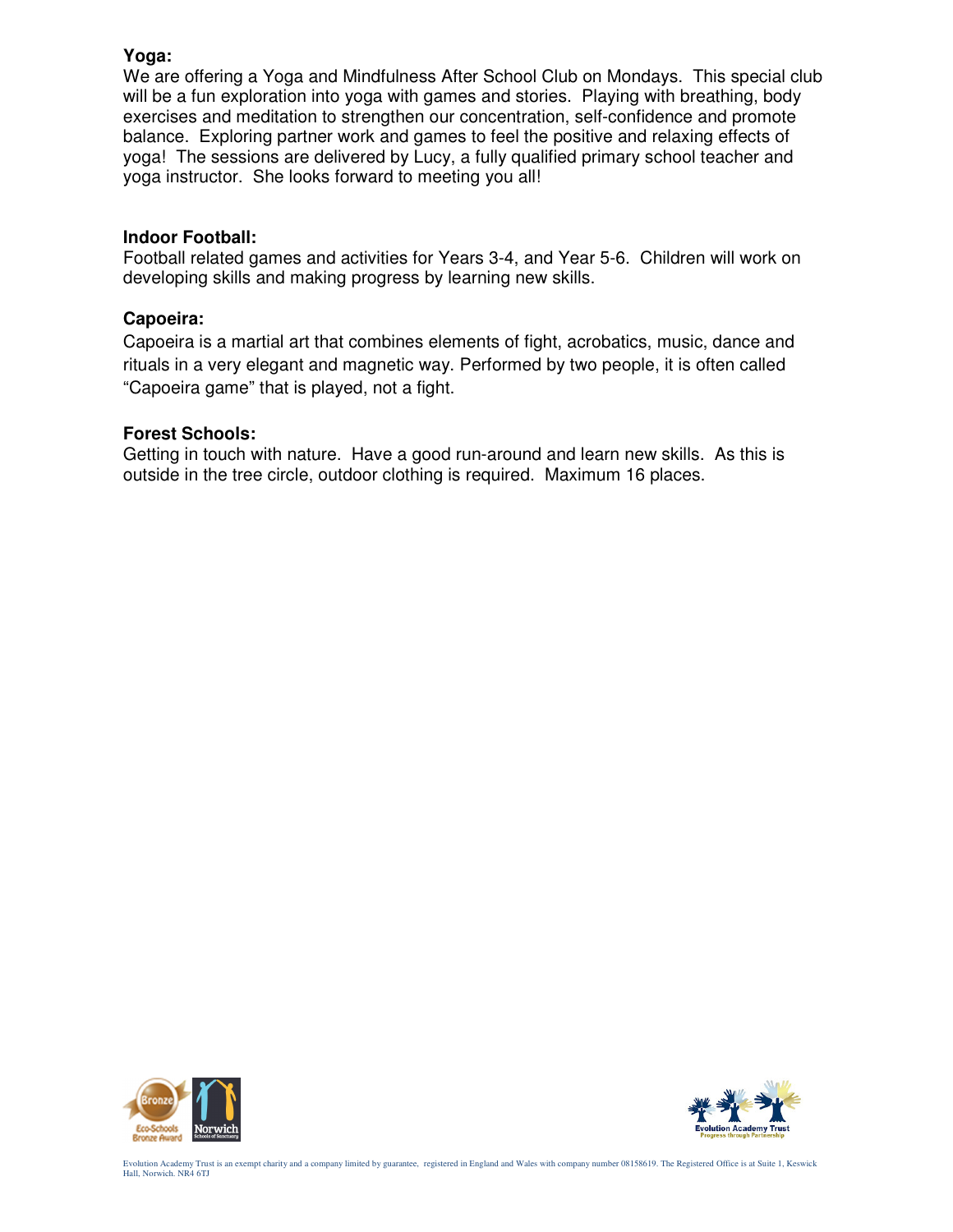### **Yoga:**

We are offering a Yoga and Mindfulness After School Club on Mondays. This special club will be a fun exploration into yoga with games and stories. Playing with breathing, body exercises and meditation to strengthen our concentration, self-confidence and promote balance. Exploring partner work and games to feel the positive and relaxing effects of yoga! The sessions are delivered by Lucy, a fully qualified primary school teacher and yoga instructor. She looks forward to meeting you all!

#### **Indoor Football:**

Football related games and activities for Years 3-4, and Year 5-6. Children will work on developing skills and making progress by learning new skills.

#### **Capoeira:**

Capoeira is a martial art that combines elements of fight, acrobatics, music, dance and rituals in a very elegant and magnetic way. Performed by two people, it is often called "Capoeira game" that is played, not a fight.

#### **Forest Schools:**

Getting in touch with nature. Have a good run-around and learn new skills. As this is outside in the tree circle, outdoor clothing is required. Maximum 16 places.





Evolution Academy Trust is an exempt charity and a company limited by guarantee, registered in England and Wales with company number 08158619. The Registered Office is at Suite 1, Keswick Hall, Norwich. NR4 6TJ